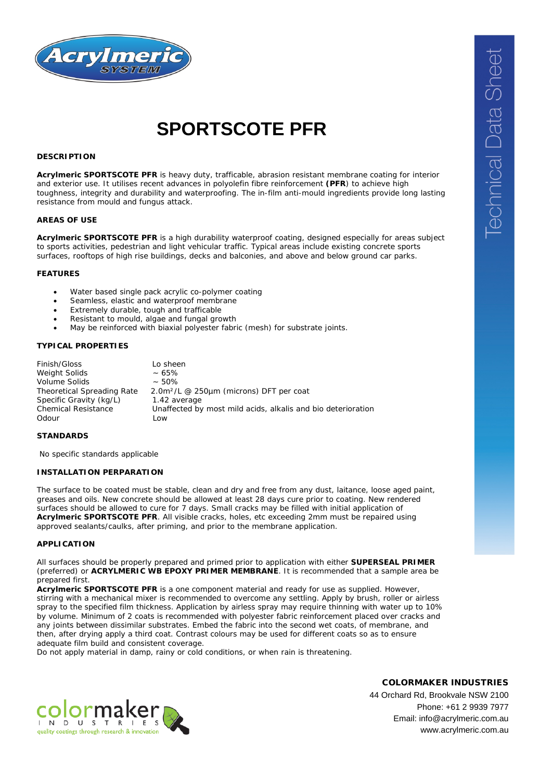

# **SPORTSCOTE PFR**

# **DESCRIPTION**

**Acrylmeric SPORTSCOTE PFR** is heavy duty, trafficable, abrasion resistant membrane coating for interior and exterior use. It utilises recent advances in polyolefin fibre reinforcement **(PFR**) to achieve high toughness, integrity and durability and waterproofing. The in-film anti-mould ingredients provide long lasting resistance from mould and fungus attack.

## **AREAS OF USE**

**Acrylmeric SPORTSCOTE PFR** is a high durability waterproof coating, designed especially for areas subject to sports activities, pedestrian and light vehicular traffic. Typical areas include existing concrete sports surfaces, rooftops of high rise buildings, decks and balconies, and above and below ground car parks.

#### **FEATURES**

- Water based single pack acrylic co-polymer coating
- Seamless, elastic and waterproof membrane
- Extremely durable, tough and trafficable
- Resistant to mould, algae and fungal growth
- May be reinforced with biaxial polyester fabric (mesh) for substrate joints.

## **TYPICAL PROPERTIES**

| Finish/Gloss                      | Lo sheen                                                         |
|-----------------------------------|------------------------------------------------------------------|
| Weight Solids                     | $~10-65%$                                                        |
| Volume Solids                     | $~1.50\%$                                                        |
| <b>Theoretical Spreading Rate</b> | 2.0m <sup>2</sup> /L @ 250 <sub>u</sub> m (microns) DFT per coat |
| Specific Gravity (kg/L)           | 1.42 average                                                     |
| Chemical Resistance               | Unaffected by most mild acids, alkalis and bio deterioration     |
| Odour                             | Low                                                              |

#### **STANDARDS**

No specific standards applicable

#### **INSTALLATION PERPARATION**

The surface to be coated must be stable, clean and dry and free from any dust, laitance, loose aged paint, greases and oils. New concrete should be allowed at least 28 days cure prior to coating. New rendered surfaces should be allowed to cure for 7 days. Small cracks may be filled with initial application of **Acrylmeric SPORTSCOTE PFR**. All visible cracks, holes, etc exceeding 2mm must be repaired using approved sealants/caulks, after priming, and prior to the membrane application.

## **APPLICATION**

All surfaces should be properly prepared and primed prior to application with either **SUPERSEAL PRIMER**  (preferred) or **ACRYLMERIC WB EPOXY PRIMER MEMBRANE**. It is recommended that a sample area be prepared first.

**Acrylmeric SPORTSCOTE PFR** is a one component material and ready for use as supplied. However, stirring with a mechanical mixer is recommended to overcome any settling. Apply by brush, roller or airless spray to the specified film thickness. Application by airless spray may require thinning with water up to 10% by volume. Minimum of 2 coats is recommended with polyester fabric reinforcement placed over cracks and any joints between dissimilar substrates. Embed the fabric into the second wet coats, of membrane, and then, after drying apply a third coat. Contrast colours may be used for different coats so as to ensure adequate film build and consistent coverage.

Do not apply material in damp, rainy or cold conditions, or when rain is threatening.



COLORMAKER INDUSTRIES

44 Orchard Rd, Brookvale NSW 2100 Phone: +61 2 9939 7977 Email: info@acrylmeric.com.au www.acrylmeric.com.au